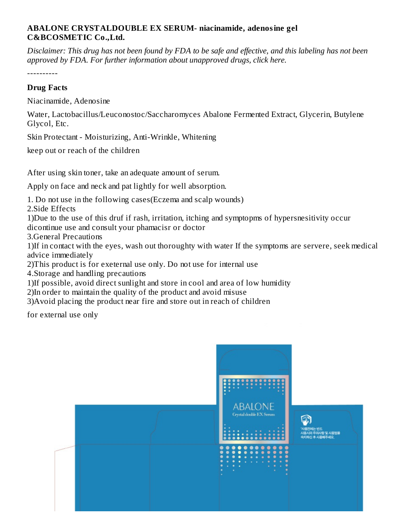## **ABALONE CRYSTALDOUBLE EX SERUM- niacinamide, adenosine gel C&BCOSMETIC Co.,Ltd.**

Disclaimer: This drug has not been found by FDA to be safe and effective, and this labeling has not been *approved by FDA. For further information about unapproved drugs, click here.*

----------

### **Drug Facts**

Niacinamide, Adenosine

Water, Lactobacillus/Leuconostoc/Saccharomyces Abalone Fermented Extract, Glycerin, Butylene Glycol, Etc.

Skin Protectant - Moisturizing, Anti-Wrinkle, Whitening

keep out or reach of the children

After using skin toner, take an adequate amount of serum.

Apply on face and neck and pat lightly for well absorption.

1. Do not use in the following cases(Eczema and scalp wounds)

2.Side Effects

1)Due to the use of this druf if rash, irritation, itching and symptopms of hypersnesitivity occur dicontinue use and consult your phamacisr or doctor

3.General Precautions

1)If in contact with the eyes, wash out thoroughty with water If the symptoms are servere, seek medical advice immediately

2)This product is for exeternal use only. Do not use for internal use

4.Storage and handling precautions

1)If possible, avoid direct sunlight and store in cool and area of low humidity

2)In order to maintain the quality of the product and avoid misuse

3)Avoid placing the product near fire and store out in reach of children

for external use only

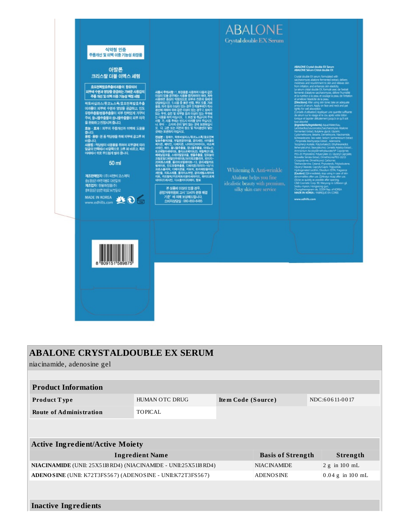

| <b>ABALONE CRYSTALDOUBLE EX SERUM</b>                            |                       |                    |                          |  |                 |  |  |  |
|------------------------------------------------------------------|-----------------------|--------------------|--------------------------|--|-----------------|--|--|--|
| niacinamide, adenosine gel                                       |                       |                    |                          |  |                 |  |  |  |
|                                                                  |                       |                    |                          |  |                 |  |  |  |
| <b>Product Information</b>                                       |                       |                    |                          |  |                 |  |  |  |
| Product Type                                                     | <b>HUMAN OTC DRUG</b> | Item Code (Source) |                          |  | NDC:60611-0017  |  |  |  |
| <b>Route of Administration</b>                                   | <b>TOPICAL</b>        |                    |                          |  |                 |  |  |  |
|                                                                  |                       |                    |                          |  |                 |  |  |  |
|                                                                  |                       |                    |                          |  |                 |  |  |  |
| <b>Active Ingredient/Active Moiety</b>                           |                       |                    |                          |  |                 |  |  |  |
| <b>Ingredient Name</b>                                           |                       |                    | <b>Basis of Strength</b> |  | Strength        |  |  |  |
| NIACINAMIDE (UNII: 25X51I8 RD4) (NIACINAMIDE - UNII:25X51I8 RD4) |                       |                    | <b>NIACINAMIDE</b>       |  | $2 g$ in 100 mL |  |  |  |
| ADENOSINE (UNII: K72T3FS567) (ADENOSINE - UNII:K72T3FS567)       | <b>ADENOSINE</b>      |                    | $0.04$ g in 100 mL       |  |                 |  |  |  |
|                                                                  |                       |                    |                          |  |                 |  |  |  |
|                                                                  |                       |                    |                          |  |                 |  |  |  |

### **Inactive Ingredients**